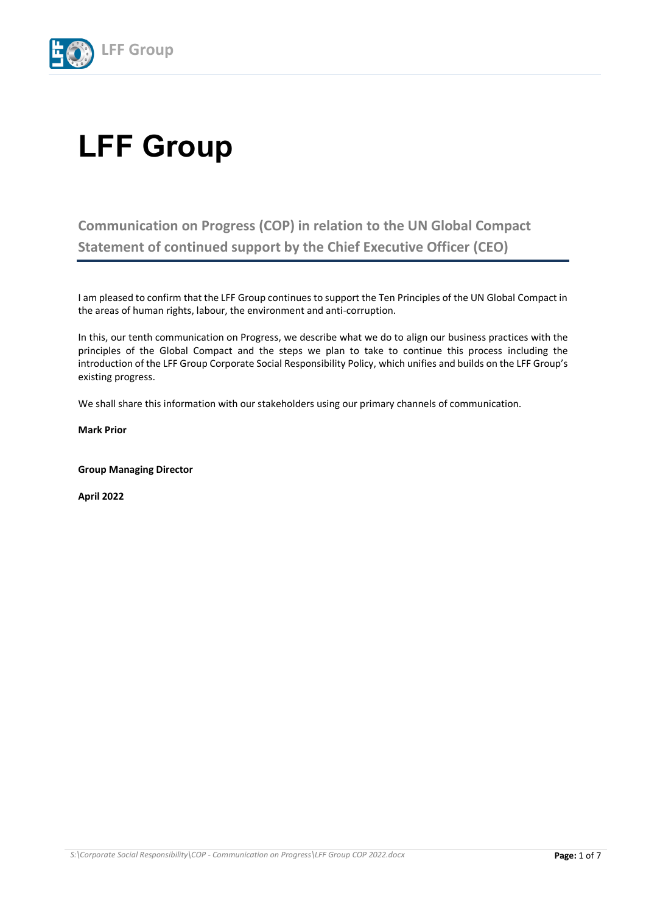

# **LFF Group**

**Communication on Progress (COP) in relation to the UN Global Compact Statement of continued support by the Chief Executive Officer (CEO)**

I am pleased to confirm that the LFF Group continues to support the Ten Principles of the UN Global Compact in the areas of human rights, labour, the environment and anti-corruption.

In this, our tenth communication on Progress, we describe what we do to align our business practices with the principles of the Global Compact and the steps we plan to take to continue this process including the introduction of the LFF Group Corporate Social Responsibility Policy, which unifies and builds on the LFF Group's existing progress.

We shall share this information with our stakeholders using our primary channels of communication.

**Mark Prior**

**Group Managing Director**

**April 2022**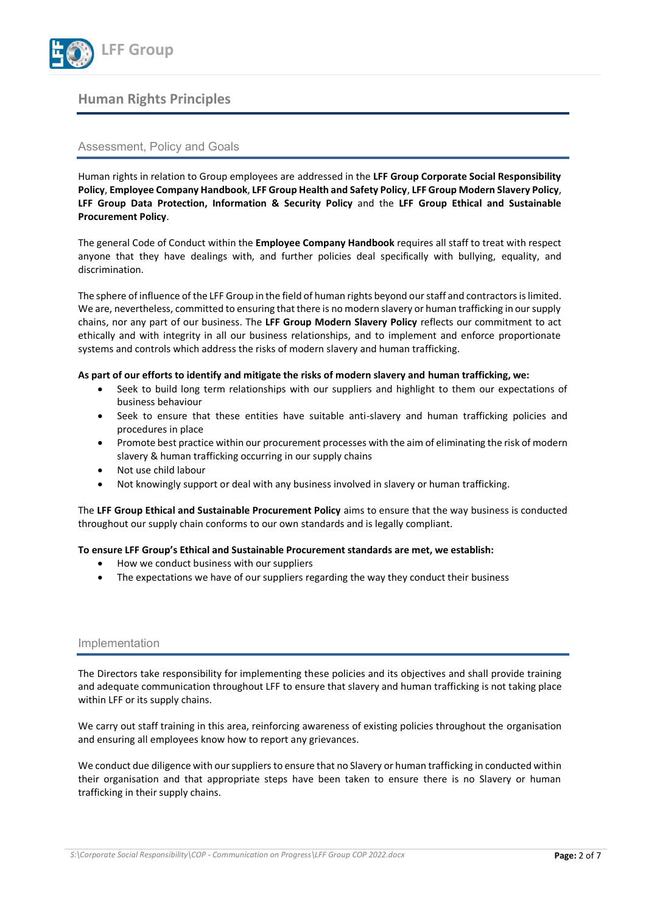

# **Human Rights Principles**

## Assessment, Policy and Goals

Human rights in relation to Group employees are addressed in the **LFF Group Corporate Social Responsibility Policy**, **Employee Company Handbook**, **LFF Group Health and Safety Policy**, **LFF Group Modern Slavery Policy**, **LFF Group Data Protection, Information & Security Policy** and the **LFF Group Ethical and Sustainable Procurement Policy**.

The general Code of Conduct within the **Employee Company Handbook** requires all staff to treat with respect anyone that they have dealings with, and further policies deal specifically with bullying, equality, and discrimination.

The sphere of influence of the LFF Group in the field of human rights beyond our staff and contractors is limited. We are, nevertheless, committed to ensuring that there is no modern slavery or human trafficking in our supply chains, nor any part of our business. The **LFF Group Modern Slavery Policy** reflects our commitment to act ethically and with integrity in all our business relationships, and to implement and enforce proportionate systems and controls which address the risks of modern slavery and human trafficking.

#### **As part of our efforts to identify and mitigate the risks of modern slavery and human trafficking, we:**

- Seek to build long term relationships with our suppliers and highlight to them our expectations of business behaviour
- Seek to ensure that these entities have suitable anti-slavery and human trafficking policies and procedures in place
- Promote best practice within our procurement processes with the aim of eliminating the risk of modern slavery & human trafficking occurring in our supply chains
- Not use child labour
- Not knowingly support or deal with any business involved in slavery or human trafficking.

The **LFF Group Ethical and Sustainable Procurement Policy** aims to ensure that the way business is conducted throughout our supply chain conforms to our own standards and is legally compliant.

#### **To ensure LFF Group's Ethical and Sustainable Procurement standards are met, we establish:**

- How we conduct business with our suppliers
- The expectations we have of our suppliers regarding the way they conduct their business

#### Implementation

The Directors take responsibility for implementing these policies and its objectives and shall provide training and adequate communication throughout LFF to ensure that slavery and human trafficking is not taking place within LFF or its supply chains.

We carry out staff training in this area, reinforcing awareness of existing policies throughout the organisation and ensuring all employees know how to report any grievances.

We conduct due diligence with our suppliers to ensure that no Slavery or human trafficking in conducted within their organisation and that appropriate steps have been taken to ensure there is no Slavery or human trafficking in their supply chains.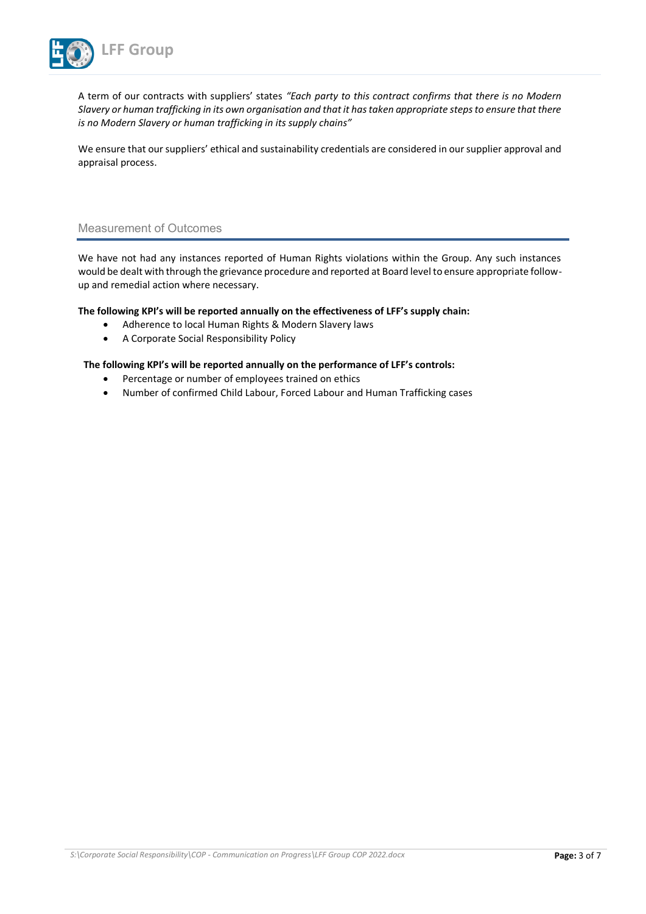

A term of our contracts with suppliers' states *"Each party to this contract confirms that there is no Modern Slavery or human trafficking in its own organisation and that it has taken appropriate steps to ensure that there is no Modern Slavery or human trafficking in its supply chains"*

We ensure that our suppliers' ethical and sustainability credentials are considered in our supplier approval and appraisal process.

## Measurement of Outcomes

We have not had any instances reported of Human Rights violations within the Group. Any such instances would be dealt with through the grievance procedure and reported at Board level to ensure appropriate followup and remedial action where necessary.

**The following KPI's will be reported annually on the effectiveness of LFF's supply chain:**

- Adherence to local Human Rights & Modern Slavery laws
- A Corporate Social Responsibility Policy

#### **The following KPI's will be reported annually on the performance of LFF's controls:**

- Percentage or number of employees trained on ethics
- Number of confirmed Child Labour, Forced Labour and Human Trafficking cases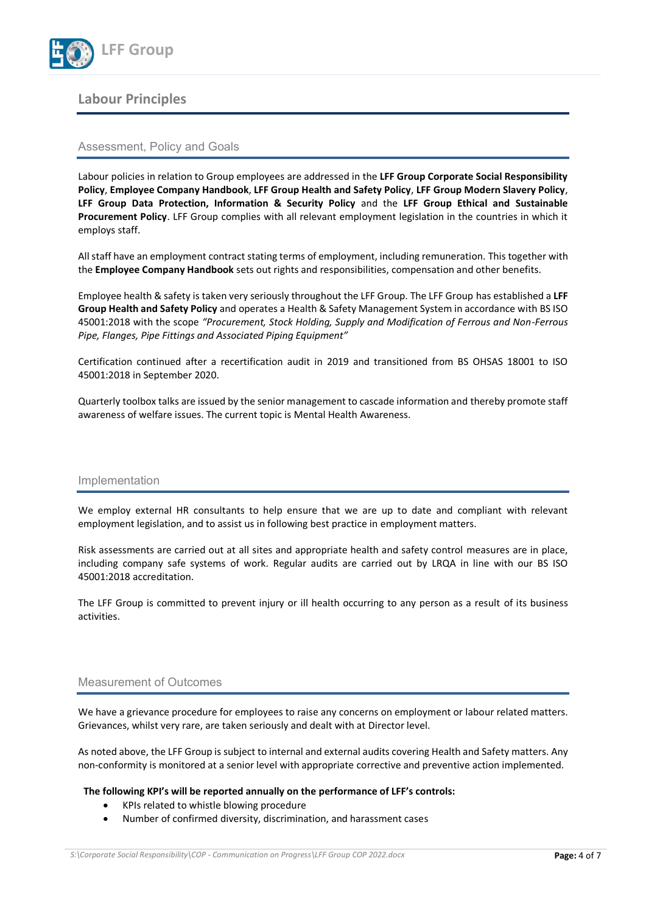

# **Labour Principles**

# Assessment, Policy and Goals

Labour policies in relation to Group employees are addressed in the **LFF Group Corporate Social Responsibility Policy**, **Employee Company Handbook**, **LFF Group Health and Safety Policy**, **LFF Group Modern Slavery Policy**, **LFF Group Data Protection, Information & Security Policy** and the **LFF Group Ethical and Sustainable Procurement Policy**. LFF Group complies with all relevant employment legislation in the countries in which it employs staff.

All staff have an employment contract stating terms of employment, including remuneration. This together with the **Employee Company Handbook** sets out rights and responsibilities, compensation and other benefits.

Employee health & safety is taken very seriously throughout the LFF Group. The LFF Group has established a **LFF Group Health and Safety Policy** and operates a Health & Safety Management System in accordance with BS ISO 45001:2018 with the scope *"Procurement, Stock Holding, Supply and Modification of Ferrous and Non-Ferrous Pipe, Flanges, Pipe Fittings and Associated Piping Equipment"*

Certification continued after a recertification audit in 2019 and transitioned from BS OHSAS 18001 to ISO 45001:2018 in September 2020.

Quarterly toolbox talks are issued by the senior management to cascade information and thereby promote staff awareness of welfare issues. The current topic is Mental Health Awareness.

#### Implementation

We employ external HR consultants to help ensure that we are up to date and compliant with relevant employment legislation, and to assist us in following best practice in employment matters.

Risk assessments are carried out at all sites and appropriate health and safety control measures are in place, including company safe systems of work. Regular audits are carried out by LRQA in line with our BS ISO 45001:2018 accreditation.

The LFF Group is committed to prevent injury or ill health occurring to any person as a result of its business activities.

#### Measurement of Outcomes

We have a grievance procedure for employees to raise any concerns on employment or labour related matters. Grievances, whilst very rare, are taken seriously and dealt with at Director level.

As noted above, the LFF Group is subject to internal and external audits covering Health and Safety matters. Any non-conformity is monitored at a senior level with appropriate corrective and preventive action implemented.

#### **The following KPI's will be reported annually on the performance of LFF's controls:**

- KPIs related to whistle blowing procedure
- Number of confirmed diversity, discrimination, and harassment cases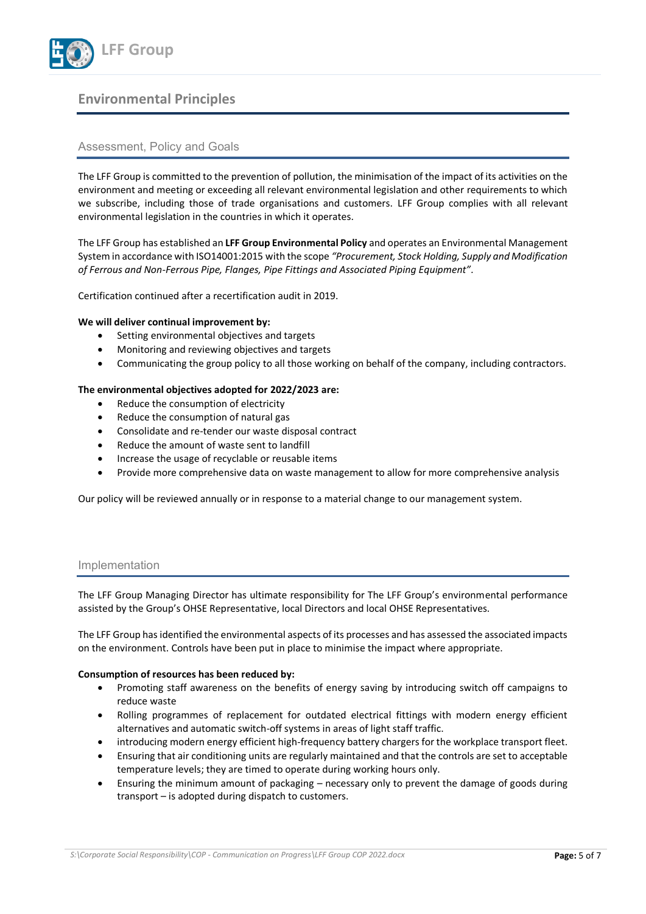

# **Environmental Principles**

# Assessment, Policy and Goals

The LFF Group is committed to the prevention of pollution, the minimisation of the impact of its activities on the environment and meeting or exceeding all relevant environmental legislation and other requirements to which we subscribe, including those of trade organisations and customers. LFF Group complies with all relevant environmental legislation in the countries in which it operates.

The LFF Group has established an **LFF Group Environmental Policy** and operates an Environmental Management System in accordance with ISO14001:2015 with the scope *"Procurement, Stock Holding, Supply and Modification of Ferrous and Non-Ferrous Pipe, Flanges, Pipe Fittings and Associated Piping Equipment".*

Certification continued after a recertification audit in 2019.

#### **We will deliver continual improvement by:**

- Setting environmental objectives and targets
- Monitoring and reviewing objectives and targets
- Communicating the group policy to all those working on behalf of the company, including contractors.

#### **The environmental objectives adopted for 2022/2023 are:**

- Reduce the consumption of electricity
- Reduce the consumption of natural gas
- Consolidate and re-tender our waste disposal contract
- Reduce the amount of waste sent to landfill
- Increase the usage of recyclable or reusable items
- Provide more comprehensive data on waste management to allow for more comprehensive analysis

Our policy will be reviewed annually or in response to a material change to our management system.

#### Implementation

The LFF Group Managing Director has ultimate responsibility for The LFF Group's environmental performance assisted by the Group's OHSE Representative, local Directors and local OHSE Representatives.

The LFF Group has identified the environmental aspects of its processes and has assessed the associated impacts on the environment. Controls have been put in place to minimise the impact where appropriate.

#### **Consumption of resources has been reduced by:**

- Promoting staff awareness on the benefits of energy saving by introducing switch off campaigns to reduce waste
- Rolling programmes of replacement for outdated electrical fittings with modern energy efficient alternatives and automatic switch-off systems in areas of light staff traffic.
- introducing modern energy efficient high-frequency battery chargers for the workplace transport fleet.
- Ensuring that air conditioning units are regularly maintained and that the controls are set to acceptable temperature levels; they are timed to operate during working hours only.
- Ensuring the minimum amount of packaging necessary only to prevent the damage of goods during transport – is adopted during dispatch to customers.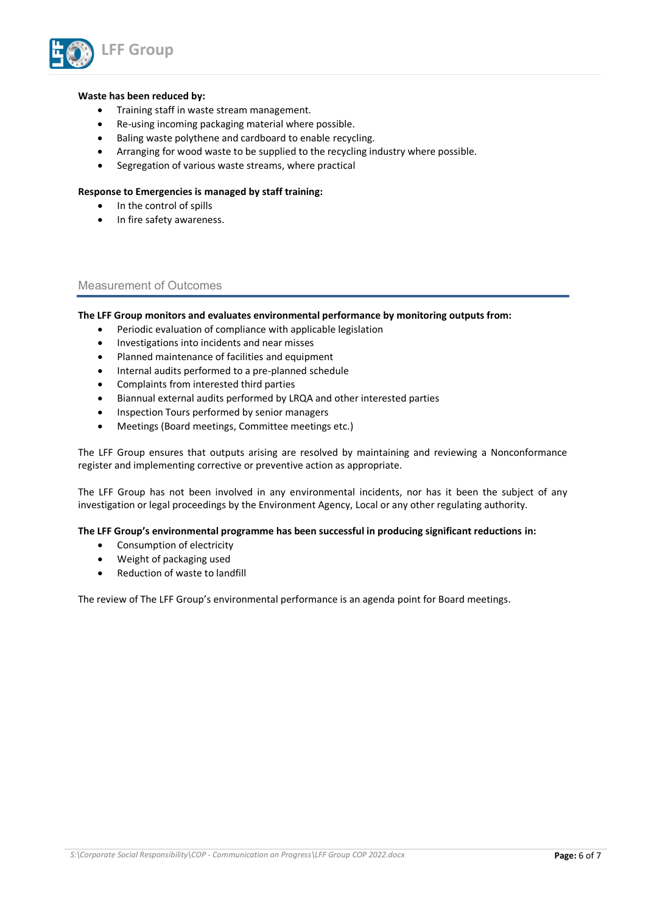

#### **Waste has been reduced by:**

- Training staff in waste stream management.
- Re-using incoming packaging material where possible.
- Baling waste polythene and cardboard to enable recycling.
- Arranging for wood waste to be supplied to the recycling industry where possible.
- Segregation of various waste streams, where practical

#### **Response to Emergencies is managed by staff training:**

- In the control of spills
- In fire safety awareness.

## Measurement of Outcomes

#### **The LFF Group monitors and evaluates environmental performance by monitoring outputs from:**

- Periodic evaluation of compliance with applicable legislation
- Investigations into incidents and near misses
- Planned maintenance of facilities and equipment
- Internal audits performed to a pre-planned schedule
- Complaints from interested third parties
- Biannual external audits performed by LRQA and other interested parties
- Inspection Tours performed by senior managers
- Meetings (Board meetings, Committee meetings etc.)

The LFF Group ensures that outputs arising are resolved by maintaining and reviewing a Nonconformance register and implementing corrective or preventive action as appropriate.

The LFF Group has not been involved in any environmental incidents, nor has it been the subject of any investigation or legal proceedings by the Environment Agency, Local or any other regulating authority.

#### **The LFF Group's environmental programme has been successful in producing significant reductions in:**

- Consumption of electricity
- Weight of packaging used
- Reduction of waste to landfill

The review of The LFF Group's environmental performance is an agenda point for Board meetings.